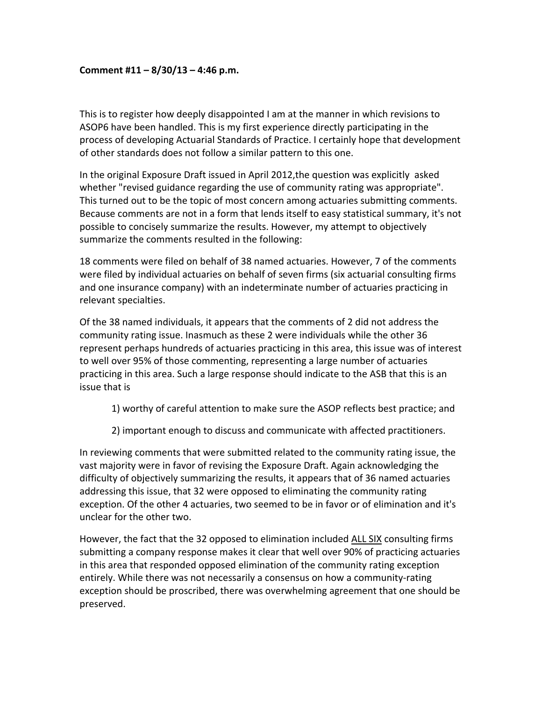## **Comment #11 – 8/30/13 – 4:46 p.m.**

This is to register how deeply disappointed I am at the manner in which revisions to ASOP6 have been handled. This is my first experience directly participating in the process of developing Actuarial Standards of Practice. I certainly hope that development of other standards does not follow a similar pattern to this one.

In the original Exposure Draft issued in April 2012,the question was explicitly asked whether "revised guidance regarding the use of community rating was appropriate". This turned out to be the topic of most concern among actuaries submitting comments. Because comments are not in a form that lends itself to easy statistical summary, it's not possible to concisely summarize the results. However, my attempt to objectively summarize the comments resulted in the following:

18 comments were filed on behalf of 38 named actuaries. However, 7 of the comments were filed by individual actuaries on behalf of seven firms (six actuarial consulting firms and one insurance company) with an indeterminate number of actuaries practicing in relevant specialties.

Of the 38 named individuals, it appears that the comments of 2 did not address the community rating issue. Inasmuch as these 2 were individuals while the other 36 represent perhaps hundreds of actuaries practicing in this area, this issue was of interest to well over 95% of those commenting, representing a large number of actuaries practicing in this area. Such a large response should indicate to the ASB that this is an issue that is

1) worthy of careful attention to make sure the ASOP reflects best practice; and

2) important enough to discuss and communicate with affected practitioners.

In reviewing comments that were submitted related to the community rating issue, the vast majority were in favor of revising the Exposure Draft. Again acknowledging the difficulty of objectively summarizing the results, it appears that of 36 named actuaries addressing this issue, that 32 were opposed to eliminating the community rating exception. Of the other 4 actuaries, two seemed to be in favor or of elimination and it's unclear for the other two.

However, the fact that the 32 opposed to elimination included ALL SIX consulting firms submitting a company response makes it clear that well over 90% of practicing actuaries in this area that responded opposed elimination of the community rating exception entirely. While there was not necessarily a consensus on how a community‐rating exception should be proscribed, there was overwhelming agreement that one should be preserved.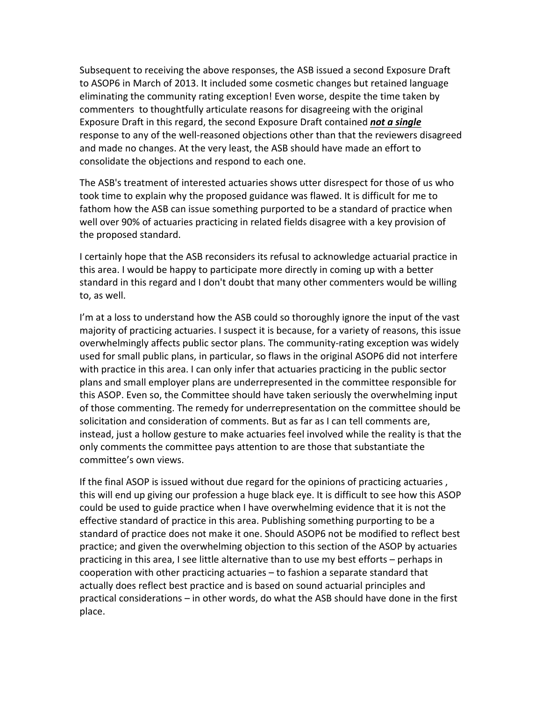Subsequent to receiving the above responses, the ASB issued a second Exposure Draft to ASOP6 in March of 2013. It included some cosmetic changes but retained language eliminating the community rating exception! Even worse, despite the time taken by commenters to thoughtfully articulate reasons for disagreeing with the original Exposure Draft in this regard, the second Exposure Draft contained *not a single* response to any of the well‐reasoned objections other than that the reviewers disagreed and made no changes. At the very least, the ASB should have made an effort to consolidate the objections and respond to each one.

The ASB's treatment of interested actuaries shows utter disrespect for those of us who took time to explain why the proposed guidance was flawed. It is difficult for me to fathom how the ASB can issue something purported to be a standard of practice when well over 90% of actuaries practicing in related fields disagree with a key provision of the proposed standard.

I certainly hope that the ASB reconsiders its refusal to acknowledge actuarial practice in this area. I would be happy to participate more directly in coming up with a better standard in this regard and I don't doubt that many other commenters would be willing to, as well.

I'm at a loss to understand how the ASB could so thoroughly ignore the input of the vast majority of practicing actuaries. I suspect it is because, for a variety of reasons, this issue overwhelmingly affects public sector plans. The community-rating exception was widely used for small public plans, in particular, so flaws in the original ASOP6 did not interfere with practice in this area. I can only infer that actuaries practicing in the public sector plans and small employer plans are underrepresented in the committee responsible for this ASOP. Even so, the Committee should have taken seriously the overwhelming input of those commenting. The remedy for underrepresentation on the committee should be solicitation and consideration of comments. But as far as I can tell comments are, instead, just a hollow gesture to make actuaries feel involved while the reality is that the only comments the committee pays attention to are those that substantiate the committee's own views.

If the final ASOP is issued without due regard for the opinions of practicing actuaries , this will end up giving our profession a huge black eye. It is difficult to see how this ASOP could be used to guide practice when I have overwhelming evidence that it is not the effective standard of practice in this area. Publishing something purporting to be a standard of practice does not make it one. Should ASOP6 not be modified to reflect best practice; and given the overwhelming objection to this section of the ASOP by actuaries practicing in this area, I see little alternative than to use my best efforts – perhaps in cooperation with other practicing actuaries – to fashion a separate standard that actually does reflect best practice and is based on sound actuarial principles and practical considerations – in other words, do what the ASB should have done in the first place.